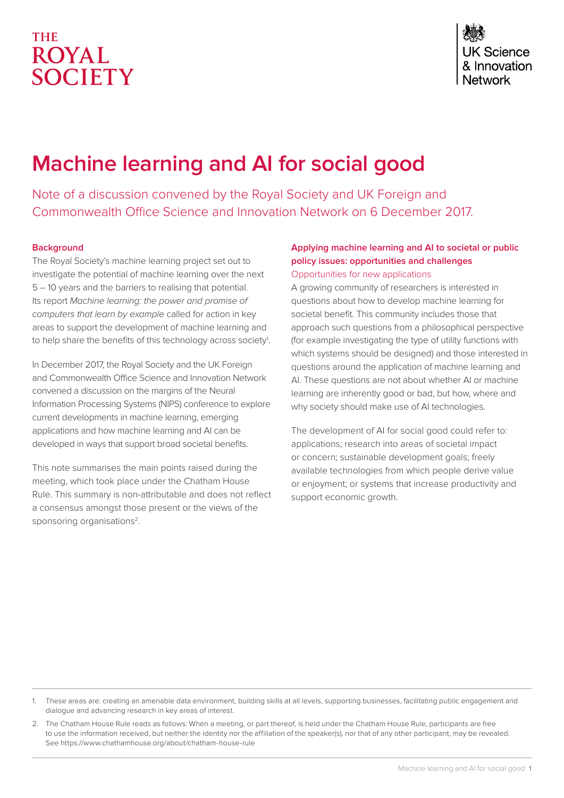# **THE ROYAL** SOCIETY

# **Machine learning and AI for social good**

Note of a discussion convened by the Royal Society and UK Foreign and Commonwealth Office Science and Innovation Network on 6 December 2017.

# **Background**

The Royal Society's machine learning project set out to investigate the potential of machine learning over the next 5 – 10 years and the barriers to realising that potential. Its report *Machine learning: the power and promise of computers that learn by example* called for action in key areas to support the development of machine learning and to help share the benefits of this technology across society<sup>1</sup>.

In December 2017, the Royal Society and the UK Foreign and Commonwealth Office Science and Innovation Network convened a discussion on the margins of the Neural Information Processing Systems (NIPS) conference to explore current developments in machine learning, emerging applications and how machine learning and AI can be developed in ways that support broad societal benefits.

This note summarises the main points raised during the meeting, which took place under the Chatham House Rule. This summary is non-attributable and does not reflect a consensus amongst those present or the views of the sponsoring organisations<sup>2</sup>.

# **Applying machine learning and AI to societal or public policy issues: opportunities and challenges** Opportunities for new applications

A growing community of researchers is interested in questions about how to develop machine learning for societal benefit. This community includes those that approach such questions from a philosophical perspective (for example investigating the type of utility functions with which systems should be designed) and those interested in questions around the application of machine learning and AI. These questions are not about whether AI or machine learning are inherently good or bad, but how, where and why society should make use of AI technologies.

The development of AI for social good could refer to: applications; research into areas of societal impact or concern; sustainable development goals; freely available technologies from which people derive value or enjoyment; or systems that increase productivity and support economic growth.

<sup>1.</sup> These areas are: creating an amenable data environment, building skills at all levels, supporting businesses, facilitating public engagement and dialogue and advancing research in key areas of interest.

<sup>2.</sup> The Chatham House Rule reads as follows: When a meeting, or part thereof, is held under the Chatham House Rule, participants are free to use the information received, but neither the identity nor the affiliation of the speaker(s), nor that of any other participant, may be revealed. See<https://www.chathamhouse.org/about/chatham-house-rule>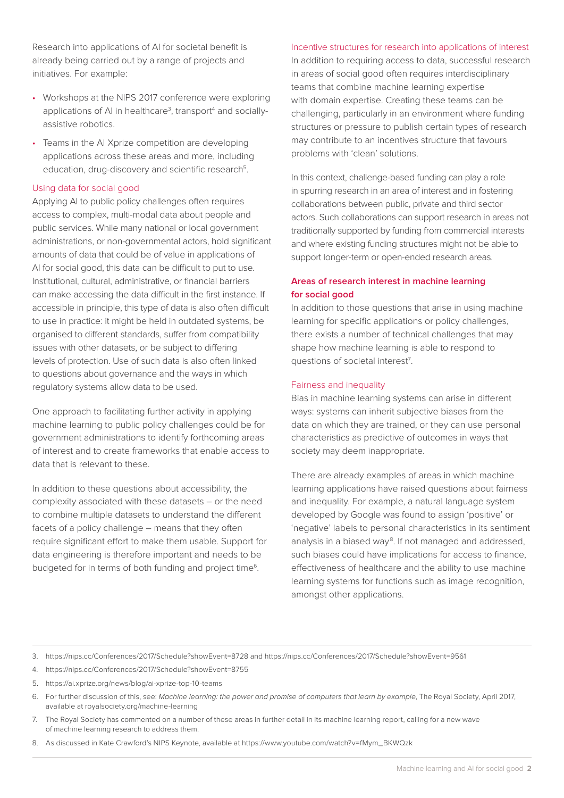Research into applications of AI for societal benefit is already being carried out by a range of projects and initiatives. For example:

- Workshops at the NIPS 2017 conference were exploring applications of AI in healthcare<sup>3</sup>, transport<sup>4</sup> and sociallyassistive robotics.
- Teams in the AI Xprize competition are developing applications across these areas and more, including education, drug-discovery and scientific research<sup>5</sup>.

#### Using data for social good

Applying AI to public policy challenges often requires access to complex, multi-modal data about people and public services. While many national or local government administrations, or non-governmental actors, hold significant amounts of data that could be of value in applications of AI for social good, this data can be difficult to put to use. Institutional, cultural, administrative, or financial barriers can make accessing the data difficult in the first instance. If accessible in principle, this type of data is also often difficult to use in practice: it might be held in outdated systems, be organised to different standards, suffer from compatibility issues with other datasets, or be subject to differing levels of protection. Use of such data is also often linked to questions about governance and the ways in which regulatory systems allow data to be used.

One approach to facilitating further activity in applying machine learning to public policy challenges could be for government administrations to identify forthcoming areas of interest and to create frameworks that enable access to data that is relevant to these.

In addition to these questions about accessibility, the complexity associated with these datasets – or the need to combine multiple datasets to understand the different facets of a policy challenge – means that they often require significant effort to make them usable. Support for data engineering is therefore important and needs to be budgeted for in terms of both funding and project time<sup>6</sup>.

#### Incentive structures for research into applications of interest

In addition to requiring access to data, successful research in areas of social good often requires interdisciplinary teams that combine machine learning expertise with domain expertise. Creating these teams can be challenging, particularly in an environment where funding structures or pressure to publish certain types of research may contribute to an incentives structure that favours problems with 'clean' solutions.

In this context, challenge-based funding can play a role in spurring research in an area of interest and in fostering collaborations between public, private and third sector actors. Such collaborations can support research in areas not traditionally supported by funding from commercial interests and where existing funding structures might not be able to support longer-term or open-ended research areas.

# **Areas of research interest in machine learning for social good**

In addition to those questions that arise in using machine learning for specific applications or policy challenges, there exists a number of technical challenges that may shape how machine learning is able to respond to questions of societal interest<sup>7</sup>.

### Fairness and inequality

Bias in machine learning systems can arise in different ways: systems can inherit subjective biases from the data on which they are trained, or they can use personal characteristics as predictive of outcomes in ways that society may deem inappropriate.

There are already examples of areas in which machine learning applications have raised questions about fairness and inequality. For example, a natural language system developed by Google was found to assign 'positive' or 'negative' labels to personal characteristics in its sentiment analysis in a biased way<sup>8</sup>. If not managed and addressed, such biases could have implications for access to finance, effectiveness of healthcare and the ability to use machine learning systems for functions such as image recognition, amongst other applications.

3. [https://nips.cc/Conferences/2017/Schedule?showEvent=8728 and https://nips.cc/Conferences/2017/Schedule?showEvent=9561](https://nips.cc/Conferences/2017/Schedule?showEvent=8728)

- 4. <https://nips.cc/Conferences/2017/Schedule?showEvent=8755>
- 5. <https://ai.xprize.org/news/blog/ai-xprize-top-10-teams>
- 6. For further discussion of this, see: *Machine learning: the power and promise of computers that learn by example*, The Royal Society, April 2017, available at <royalsociety.org/machine-learning>
- 7. The Royal Society has commented on a number of these areas in further detail in its machine learning report, calling for a new wave of machine learning research to address them.
- 8. As discussed in Kate Crawford's NIPS Keynote, available at [https://www.youtube.com/watch?v=fMym\\_BKWQzk](https://www.youtube.com/watch?v=fMym_BKWQzk)